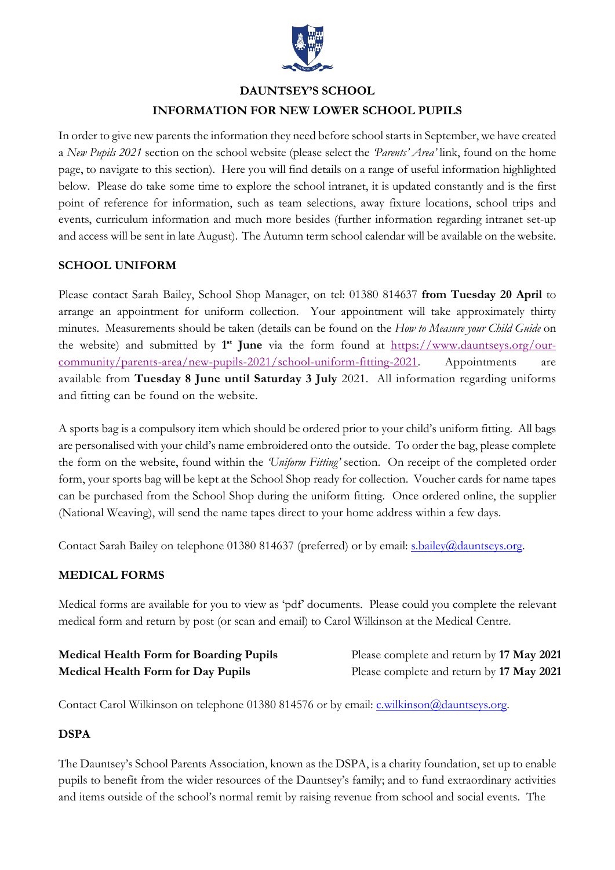

# **DAUNTSEY'S SCHOOL INFORMATION FOR NEW LOWER SCHOOL PUPILS**

In order to give new parents the information they need before school starts in September, we have created a *New Pupils 2021* section on the school website (please select the *'Parents' Area'* link, found on the home page, to navigate to this section). Here you will find details on a range of useful information highlighted below. Please do take some time to explore the school intranet, it is updated constantly and is the first point of reference for information, such as team selections, away fixture locations, school trips and events, curriculum information and much more besides (further information regarding intranet set-up and access will be sent in late August). The Autumn term school calendar will be available on the website.

# **SCHOOL UNIFORM**

Please contact Sarah Bailey, School Shop Manager, on tel: 01380 814637 **from Tuesday 20 April** to arrange an appointment for uniform collection. Your appointment will take approximately thirty minutes. Measurements should be taken (details can be found on the *How to Measure your Child Guide* on the website) and submitted by **1st June** via the form found at [https://www.dauntseys.org/our](https://www.dauntseys.org/our-community/parents-area/new-pupils-2021/school-uniform-fitting-2021)[community/parents-area/new-pupils-2021/school-uniform-fitting-2021.](https://www.dauntseys.org/our-community/parents-area/new-pupils-2021/school-uniform-fitting-2021) Appointments are available from **Tuesday 8 June until Saturday 3 July** 2021. All information regarding uniforms and fitting can be found on the website.

A sports bag is a compulsory item which should be ordered prior to your child's uniform fitting. All bags are personalised with your child's name embroidered onto the outside. To order the bag, please complete the form on the website, found within the *'Uniform Fitting'* section. On receipt of the completed order form, your sports bag will be kept at the School Shop ready for collection. Voucher cards for name tapes can be purchased from the School Shop during the uniform fitting. Once ordered online, the supplier (National Weaving), will send the name tapes direct to your home address within a few days.

Contact Sarah Bailey on telephone 01380 814637 (preferred) or by email: [s.bailey@dauntseys.org.](mailto:s.bailey@dauntseys.org)

#### **MEDICAL FORMS**

Medical forms are available for you to view as 'pdf' documents. Please could you complete the relevant medical form and return by post (or scan and email) to Carol Wilkinson at the Medical Centre.

| <b>Medical Health Form for Boarding Pupils</b> | Please complete and return by 17 May 2021 |
|------------------------------------------------|-------------------------------------------|
| <b>Medical Health Form for Day Pupils</b>      | Please complete and return by 17 May 2021 |

Contact Carol Wilkinson on telephone 01380 814576 or by email: [c.wilkinson@dauntseys.org.](mailto:c.wilkinson@dauntseys.org)

#### **DSPA**

The Dauntsey's School Parents Association, known as the DSPA, is a charity foundation, set up to enable pupils to benefit from the wider resources of the Dauntsey's family; and to fund extraordinary activities and items outside of the school's normal remit by raising revenue from school and social events. The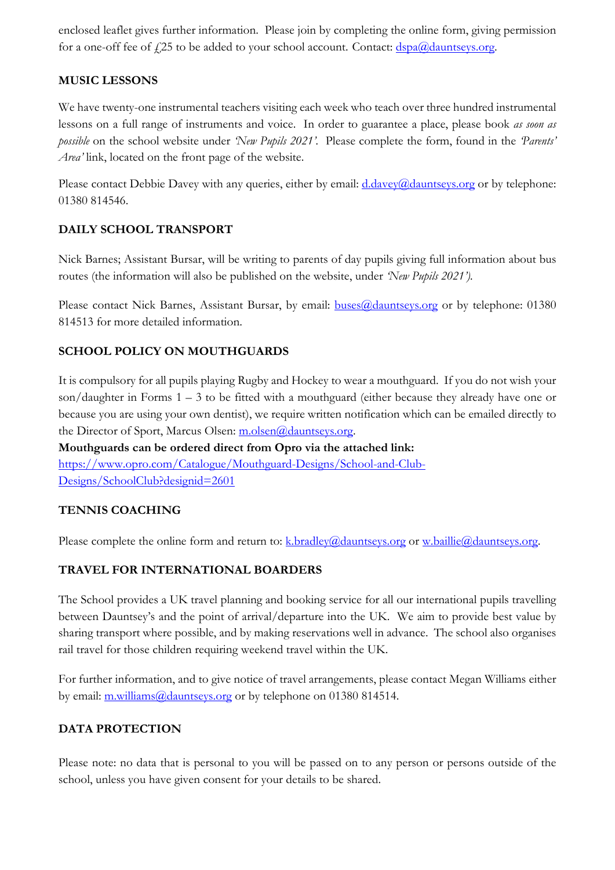enclosed leaflet gives further information. Please join by completing the online form, giving permission for a one-off fee of  $f$ 25 to be added to your school account. Contact:  $\frac{dspa(\omega)d\text{auntseys.org}}{dsga(\omega)d\text{anitseys.org}}$ .

# **MUSIC LESSONS**

We have twenty-one instrumental teachers visiting each week who teach over three hundred instrumental lessons on a full range of instruments and voice. In order to guarantee a place, please book *as soon as possible* on the school website under *'New Pupils 2021'.* Please complete the form, found in the *'Parents' Area'* link, located on the front page of the website.

Please contact Debbie Davey with any queries, either by email: [d.davey@dauntseys.org](mailto:d.davey@dauntseys.org) or by telephone: 01380 814546.

# **DAILY SCHOOL TRANSPORT**

Nick Barnes; Assistant Bursar, will be writing to parents of day pupils giving full information about bus routes (the information will also be published on the website, under *'New Pupils 2021').*

Please contact Nick Barnes, Assistant Bursar, by email: **buses@dauntseys.org** or by telephone: 01380 814513 for more detailed information.

# **SCHOOL POLICY ON MOUTHGUARDS**

It is compulsory for all pupils playing Rugby and Hockey to wear a mouthguard. If you do not wish your son/daughter in Forms  $1 - 3$  to be fitted with a mouthguard (either because they already have one or because you are using your own dentist), we require written notification which can be emailed directly to the Director of Sport, Marcus Olsen: [m.olsen@dauntseys.org.](mailto:m.olsen@dauntseys.org)

**Mouthguards can be ordered direct from Opro via the attached link:** [https://www.opro.com/Catalogue/Mouthguard-Designs/School-and-Club-](https://www.opro.com/Catalogue/Mouthguard-Designs/School-and-Club-Designs/SchoolClub?designid=2601)[Designs/SchoolClub?designid=2601](https://www.opro.com/Catalogue/Mouthguard-Designs/School-and-Club-Designs/SchoolClub?designid=2601)

#### **TENNIS COACHING**

Please complete the online form and return to: [k.bradley@dauntseys.org](mailto:k.bradley@dauntseys.org) or [w.baillie@dauntseys.org.](mailto:w.baillie@dauntseys.org)

# **TRAVEL FOR INTERNATIONAL BOARDERS**

The School provides a UK travel planning and booking service for all our international pupils travelling between Dauntsey's and the point of arrival/departure into the UK. We aim to provide best value by sharing transport where possible, and by making reservations well in advance. The school also organises rail travel for those children requiring weekend travel within the UK.

For further information, and to give notice of travel arrangements, please contact Megan Williams either by email: [m.williams@dauntseys.org](mailto:m.williams@dauntseys.org) or by telephone on 01380 814514.

# **DATA PROTECTION**

Please note: no data that is personal to you will be passed on to any person or persons outside of the school, unless you have given consent for your details to be shared.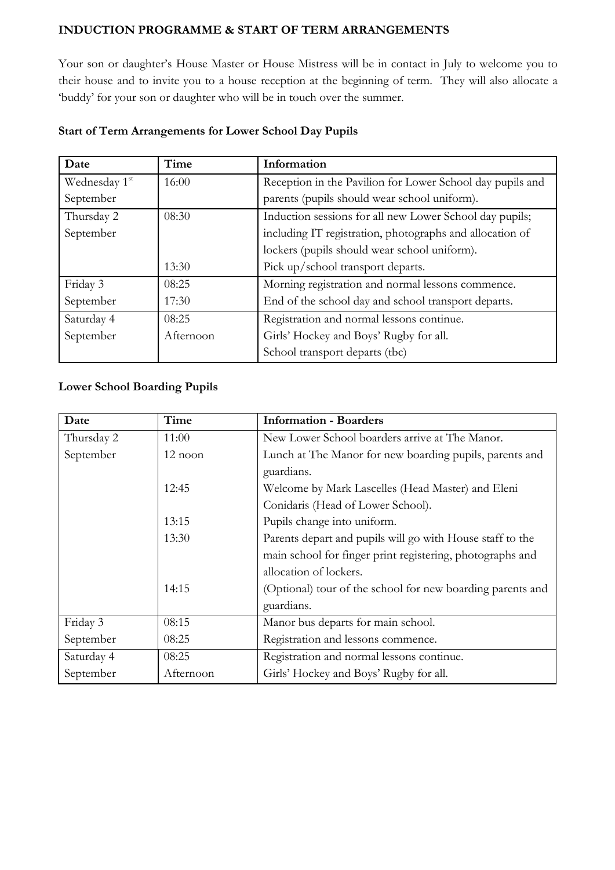# **INDUCTION PROGRAMME & START OF TERM ARRANGEMENTS**

Your son or daughter's House Master or House Mistress will be in contact in July to welcome you to their house and to invite you to a house reception at the beginning of term. They will also allocate a 'buddy' for your son or daughter who will be in touch over the summer.

| Date          | Time      | Information                                               |
|---------------|-----------|-----------------------------------------------------------|
| Wednesday 1st | 16:00     | Reception in the Pavilion for Lower School day pupils and |
| September     |           | parents (pupils should wear school uniform).              |
| Thursday 2    | 08:30     | Induction sessions for all new Lower School day pupils;   |
| September     |           | including IT registration, photographs and allocation of  |
|               |           | lockers (pupils should wear school uniform).              |
|               | 13:30     | Pick up/school transport departs.                         |
| Friday 3      | 08:25     | Morning registration and normal lessons commence.         |
| September     | 17:30     | End of the school day and school transport departs.       |
| Saturday 4    | 08:25     | Registration and normal lessons continue.                 |
| September     | Afternoon | Girls' Hockey and Boys' Rugby for all.                    |
|               |           | School transport departs (tbc)                            |

#### **Start of Term Arrangements for Lower School Day Pupils**

#### **Lower School Boarding Pupils**

| Date       | Time      | <b>Information - Boarders</b>                              |
|------------|-----------|------------------------------------------------------------|
| Thursday 2 | 11:00     | New Lower School boarders arrive at The Manor.             |
| September  | $12$ noon | Lunch at The Manor for new boarding pupils, parents and    |
|            |           | guardians.                                                 |
|            | 12:45     | Welcome by Mark Lascelles (Head Master) and Eleni          |
|            |           | Conidaris (Head of Lower School).                          |
|            | 13:15     | Pupils change into uniform.                                |
|            | 13:30     | Parents depart and pupils will go with House staff to the  |
|            |           | main school for finger print registering, photographs and  |
|            |           | allocation of lockers.                                     |
|            | 14:15     | (Optional) tour of the school for new boarding parents and |
|            |           | guardians.                                                 |
| Friday 3   | 08:15     | Manor bus departs for main school.                         |
| September  | 08:25     | Registration and lessons commence.                         |
| Saturday 4 | 08:25     | Registration and normal lessons continue.                  |
| September  | Afternoon | Girls' Hockey and Boys' Rugby for all.                     |